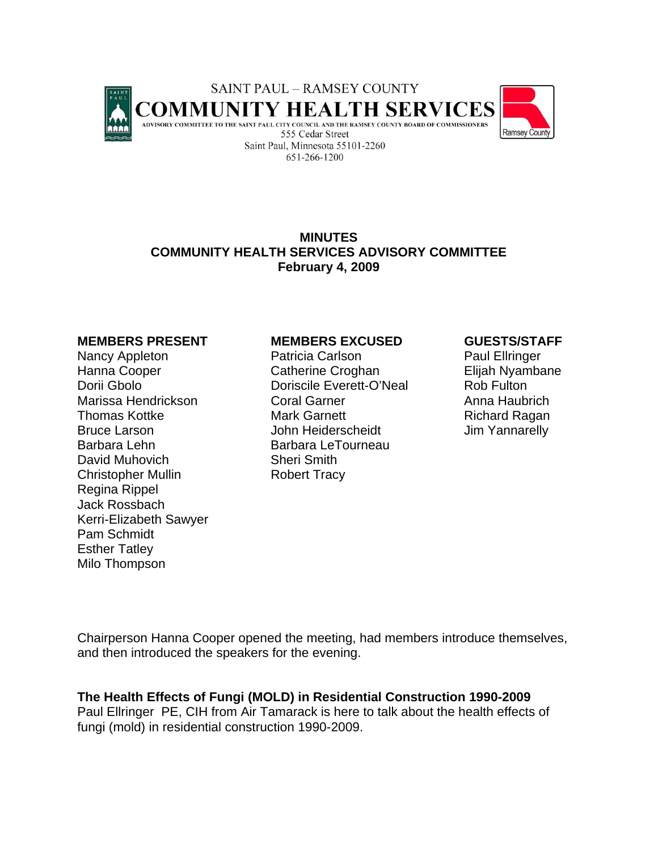

# **MINUTES COMMUNITY HEALTH SERVICES ADVISORY COMMITTEE February 4, 2009**

Barbara Lehn Barbara LeTourneau David Muhovich Sheri Smith Christopher Mullin Robert Tracy Regina Rippel Jack Rossbach Kerri-Elizabeth Sawyer Pam Schmidt Esther Tatley Milo Thompson

#### **MEMBERS PRESENT MEMBERS EXCUSED GUESTS/STAFF**

Nancy Appleton **Patricia Carlson** Paul Ellringer Hanna Cooper Catherine Croghan Elijah Nyambane Dorii Gbolo **Doriscile Everett-O'Neal** Rob Fulton Marissa Hendrickson Coral Garner Anna Haubrich Thomas Kottke **Mark Garnett** Richard Ragan Bruce Larson **Gration Heiderscheidt** John Heiderscheidt Jim Yannarelly

Chairperson Hanna Cooper opened the meeting, had members introduce themselves, and then introduced the speakers for the evening.

**The Health Effects of Fungi (MOLD) in Residential Construction 1990-2009** 

Paul Ellringer PE, CIH from Air Tamarack is here to talk about the health effects of fungi (mold) in residential construction 1990-2009.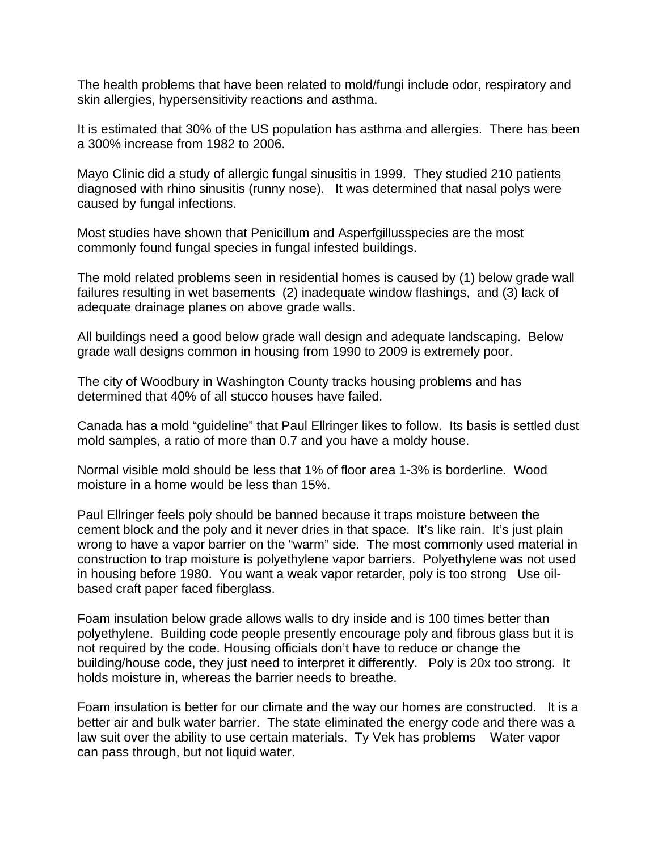The health problems that have been related to mold/fungi include odor, respiratory and skin allergies, hypersensitivity reactions and asthma.

It is estimated that 30% of the US population has asthma and allergies. There has been a 300% increase from 1982 to 2006.

Mayo Clinic did a study of allergic fungal sinusitis in 1999. They studied 210 patients diagnosed with rhino sinusitis (runny nose). It was determined that nasal polys were caused by fungal infections.

Most studies have shown that Penicillum and Asperfgillusspecies are the most commonly found fungal species in fungal infested buildings.

The mold related problems seen in residential homes is caused by (1) below grade wall failures resulting in wet basements (2) inadequate window flashings, and (3) lack of adequate drainage planes on above grade walls.

All buildings need a good below grade wall design and adequate landscaping. Below grade wall designs common in housing from 1990 to 2009 is extremely poor.

The city of Woodbury in Washington County tracks housing problems and has determined that 40% of all stucco houses have failed.

Canada has a mold "guideline" that Paul Ellringer likes to follow. Its basis is settled dust mold samples, a ratio of more than 0.7 and you have a moldy house.

Normal visible mold should be less that 1% of floor area 1-3% is borderline. Wood moisture in a home would be less than 15%.

Paul Ellringer feels poly should be banned because it traps moisture between the cement block and the poly and it never dries in that space. It's like rain. It's just plain wrong to have a vapor barrier on the "warm" side. The most commonly used material in construction to trap moisture is polyethylene vapor barriers. Polyethylene was not used in housing before 1980. You want a weak vapor retarder, poly is too strong Use oilbased craft paper faced fiberglass.

Foam insulation below grade allows walls to dry inside and is 100 times better than polyethylene. Building code people presently encourage poly and fibrous glass but it is not required by the code. Housing officials don't have to reduce or change the building/house code, they just need to interpret it differently. Poly is 20x too strong. It holds moisture in, whereas the barrier needs to breathe.

Foam insulation is better for our climate and the way our homes are constructed. It is a better air and bulk water barrier. The state eliminated the energy code and there was a law suit over the ability to use certain materials. Ty Vek has problems Water vapor can pass through, but not liquid water.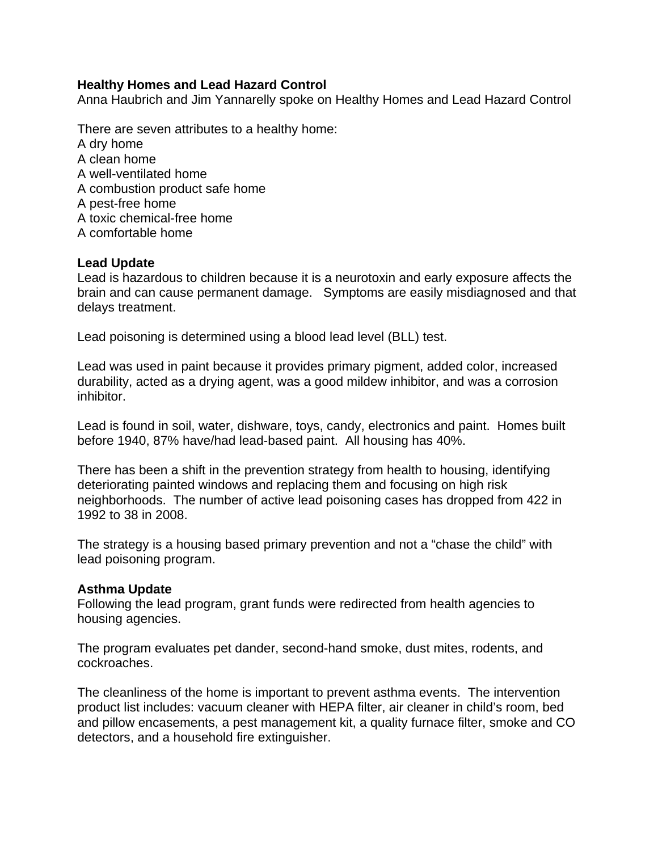## **Healthy Homes and Lead Hazard Control**

Anna Haubrich and Jim Yannarelly spoke on Healthy Homes and Lead Hazard Control

There are seven attributes to a healthy home: A dry home A clean home A well-ventilated home A combustion product safe home A pest-free home A toxic chemical-free home A comfortable home

### **Lead Update**

Lead is hazardous to children because it is a neurotoxin and early exposure affects the brain and can cause permanent damage. Symptoms are easily misdiagnosed and that delays treatment.

Lead poisoning is determined using a blood lead level (BLL) test.

Lead was used in paint because it provides primary pigment, added color, increased durability, acted as a drying agent, was a good mildew inhibitor, and was a corrosion inhibitor.

Lead is found in soil, water, dishware, toys, candy, electronics and paint. Homes built before 1940, 87% have/had lead-based paint. All housing has 40%.

There has been a shift in the prevention strategy from health to housing, identifying deteriorating painted windows and replacing them and focusing on high risk neighborhoods. The number of active lead poisoning cases has dropped from 422 in 1992 to 38 in 2008.

The strategy is a housing based primary prevention and not a "chase the child" with lead poisoning program.

#### **Asthma Update**

Following the lead program, grant funds were redirected from health agencies to housing agencies.

The program evaluates pet dander, second-hand smoke, dust mites, rodents, and cockroaches.

The cleanliness of the home is important to prevent asthma events. The intervention product list includes: vacuum cleaner with HEPA filter, air cleaner in child's room, bed and pillow encasements, a pest management kit, a quality furnace filter, smoke and CO detectors, and a household fire extinguisher.